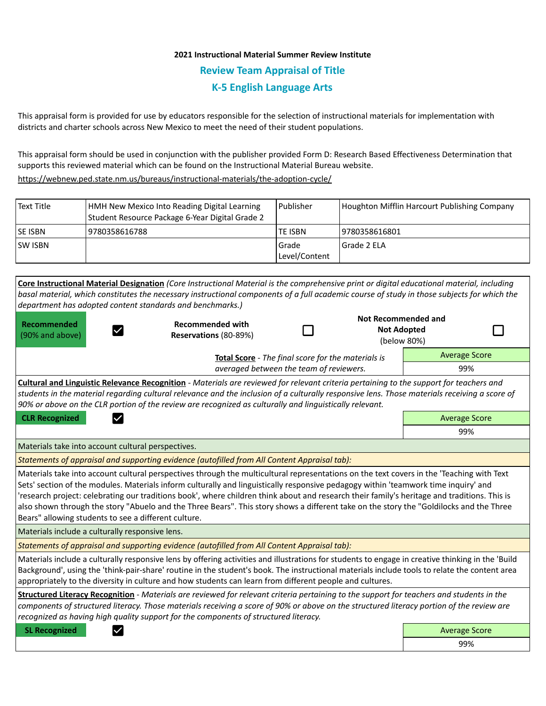## **2021 Instructional Material Summer Review Institute Review Team Appraisal of Title K-5 English Language Arts**

This appraisal form is provided for use by educators responsible for the selection of instructional materials for implementation with districts and charter schools across New Mexico to meet the need of their student populations.

This appraisal form should be used in conjunction with the publisher provided Form D: Research Based Effectiveness Determination that supports this reviewed material which can be found on the Instructional Material Bureau website.

<https://webnew.ped.state.nm.us/bureaus/instructional-materials/the-adoption-cycle/>

| Text Title     | HMH New Mexico Into Reading Digital Learning<br>Student Resource Package 6-Year Digital Grade 2 | l Publisher              | Houghton Mifflin Harcourt Publishing Company |
|----------------|-------------------------------------------------------------------------------------------------|--------------------------|----------------------------------------------|
| <b>SE ISBN</b> | 9780358616788                                                                                   | TE ISBN                  | 19780358616801                               |
| <b>SW ISBN</b> |                                                                                                 | l Grade<br>Level/Content | l Grade 2 ELA                                |

| department has adopted content standards and benchmarks.)                                                                                                                                                                                                                                                                                                                                                                                                                                                                                                                                                                           | Core Instructional Material Designation (Core Instructional Material is the comprehensive print or digital educational material, including<br>basal material, which constitutes the necessary instructional components of a full academic course of study in those subjects for which the                                                                                                                      |  |  |                                                          |     |  |  |
|-------------------------------------------------------------------------------------------------------------------------------------------------------------------------------------------------------------------------------------------------------------------------------------------------------------------------------------------------------------------------------------------------------------------------------------------------------------------------------------------------------------------------------------------------------------------------------------------------------------------------------------|----------------------------------------------------------------------------------------------------------------------------------------------------------------------------------------------------------------------------------------------------------------------------------------------------------------------------------------------------------------------------------------------------------------|--|--|----------------------------------------------------------|-----|--|--|
| Recommended<br>(90% and above)                                                                                                                                                                                                                                                                                                                                                                                                                                                                                                                                                                                                      | <b>Recommended with</b><br>Reservations (80-89%)                                                                                                                                                                                                                                                                                                                                                               |  |  | Not Recommended and<br><b>Not Adopted</b><br>(below 80%) |     |  |  |
|                                                                                                                                                                                                                                                                                                                                                                                                                                                                                                                                                                                                                                     | Total Score - The final score for the materials is                                                                                                                                                                                                                                                                                                                                                             |  |  | <b>Average Score</b>                                     |     |  |  |
| averaged between the team of reviewers.                                                                                                                                                                                                                                                                                                                                                                                                                                                                                                                                                                                             |                                                                                                                                                                                                                                                                                                                                                                                                                |  |  | 99%                                                      |     |  |  |
|                                                                                                                                                                                                                                                                                                                                                                                                                                                                                                                                                                                                                                     | Cultural and Linguistic Relevance Recognition - Materials are reviewed for relevant criteria pertaining to the support for teachers and<br>students in the material regarding cultural relevance and the inclusion of a culturally responsive lens. Those materials receiving a score of<br>90% or above on the CLR portion of the review are recognized as culturally and linguistically relevant.            |  |  |                                                          |     |  |  |
| <b>CLR Recognized</b><br>M                                                                                                                                                                                                                                                                                                                                                                                                                                                                                                                                                                                                          |                                                                                                                                                                                                                                                                                                                                                                                                                |  |  | <b>Average Score</b>                                     |     |  |  |
|                                                                                                                                                                                                                                                                                                                                                                                                                                                                                                                                                                                                                                     |                                                                                                                                                                                                                                                                                                                                                                                                                |  |  | 99%                                                      |     |  |  |
| Materials take into account cultural perspectives.                                                                                                                                                                                                                                                                                                                                                                                                                                                                                                                                                                                  |                                                                                                                                                                                                                                                                                                                                                                                                                |  |  |                                                          |     |  |  |
|                                                                                                                                                                                                                                                                                                                                                                                                                                                                                                                                                                                                                                     | Statements of appraisal and supporting evidence (autofilled from All Content Appraisal tab):                                                                                                                                                                                                                                                                                                                   |  |  |                                                          |     |  |  |
| Materials take into account cultural perspectives through the multicultural representations on the text covers in the 'Teaching with Text<br>Sets' section of the modules. Materials inform culturally and linguistically responsive pedagogy within 'teamwork time inquiry' and<br>'research project: celebrating our traditions book', where children think about and research their family's heritage and traditions. This is<br>also shown through the story "Abuelo and the Three Bears". This story shows a different take on the story the "Goldilocks and the Three<br>Bears" allowing students to see a different culture. |                                                                                                                                                                                                                                                                                                                                                                                                                |  |  |                                                          |     |  |  |
| Materials include a culturally responsive lens.                                                                                                                                                                                                                                                                                                                                                                                                                                                                                                                                                                                     |                                                                                                                                                                                                                                                                                                                                                                                                                |  |  |                                                          |     |  |  |
| Statements of appraisal and supporting evidence (autofilled from All Content Appraisal tab):                                                                                                                                                                                                                                                                                                                                                                                                                                                                                                                                        |                                                                                                                                                                                                                                                                                                                                                                                                                |  |  |                                                          |     |  |  |
|                                                                                                                                                                                                                                                                                                                                                                                                                                                                                                                                                                                                                                     | Materials include a culturally responsive lens by offering activities and illustrations for students to engage in creative thinking in the 'Build<br>Background', using the 'think-pair-share' routine in the student's book. The instructional materials include tools to relate the content area<br>appropriately to the diversity in culture and how students can learn from different people and cultures. |  |  |                                                          |     |  |  |
|                                                                                                                                                                                                                                                                                                                                                                                                                                                                                                                                                                                                                                     | Structured Literacy Recognition - Materials are reviewed for relevant criteria pertaining to the support for teachers and students in the<br>components of structured literacy. Those materials receiving a score of 90% or above on the structured literacy portion of the review are<br>recognized as having high quality support for the components of structured literacy.                                 |  |  |                                                          |     |  |  |
| <b>SL Recognized</b>                                                                                                                                                                                                                                                                                                                                                                                                                                                                                                                                                                                                                |                                                                                                                                                                                                                                                                                                                                                                                                                |  |  | <b>Average Score</b>                                     |     |  |  |
|                                                                                                                                                                                                                                                                                                                                                                                                                                                                                                                                                                                                                                     |                                                                                                                                                                                                                                                                                                                                                                                                                |  |  |                                                          | 99% |  |  |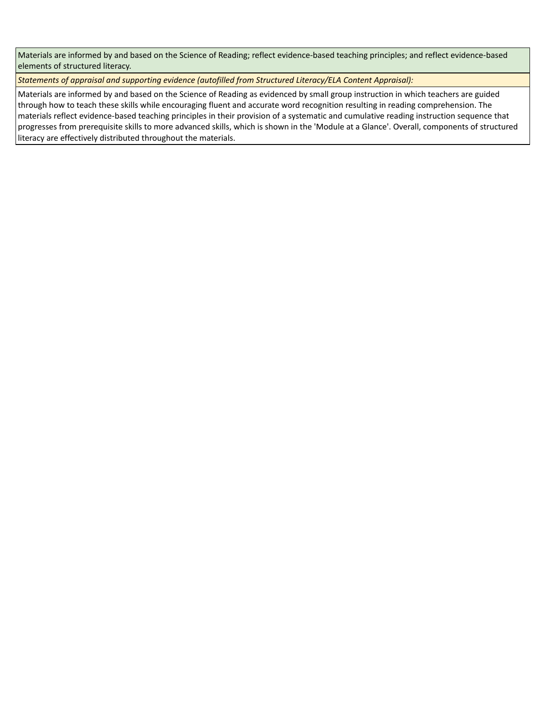Materials are informed by and based on the Science of Reading; reflect evidence-based teaching principles; and reflect evidence-based elements of structured literacy.

*Statements of appraisal and supporting evidence (autofilled from Structured Literacy/ELA Content Appraisal):* 

Materials are informed by and based on the Science of Reading as evidenced by small group instruction in which teachers are guided through how to teach these skills while encouraging fluent and accurate word recognition resulting in reading comprehension. The materials reflect evidence-based teaching principles in their provision of a systematic and cumulative reading instruction sequence that progresses from prerequisite skills to more advanced skills, which is shown in the 'Module at a Glance'. Overall, components of structured literacy are effectively distributed throughout the materials.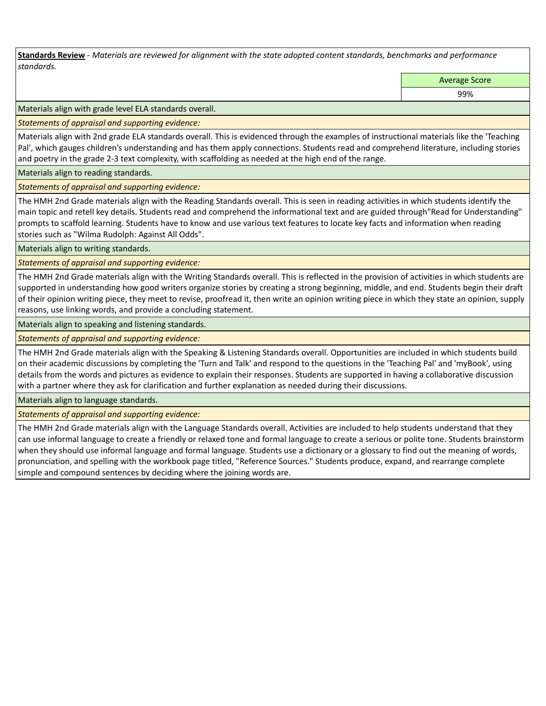**Standards Review** *- Materials are reviewed for alignment with the state adopted content standards, benchmarks and performance standards.*

Average Score

99%

Materials align with grade level ELA standards overall.

*Statements of appraisal and supporting evidence:* 

Materials align with 2nd grade ELA standards overall. This is evidenced through the examples of instructional materials like the 'Teaching Pal', which gauges children's understanding and has them apply connections. Students read and comprehend literature, including stories and poetry in the grade 2-3 text complexity, with scaffolding as needed at the high end of the range.

Materials align to reading standards.

*Statements of appraisal and supporting evidence:* 

The HMH 2nd Grade materials align with the Reading Standards overall. This is seen in reading activities in which students identify the main topic and retell key details. Students read and comprehend the informational text and are guided through"Read for Understanding" prompts to scaffold learning. Students have to know and use various text features to locate key facts and information when reading stories such as "Wilma Rudolph: Against All Odds".

Materials align to writing standards.

*Statements of appraisal and supporting evidence:* 

The HMH 2nd Grade materials align with the Writing Standards overall. This is reflected in the provision of activities in which students are supported in understanding how good writers organize stories by creating a strong beginning, middle, and end. Students begin their draft of their opinion writing piece, they meet to revise, proofread it, then write an opinion writing piece in which they state an opinion, supply reasons, use linking words, and provide a concluding statement.

Materials align to speaking and listening standards.

*Statements of appraisal and supporting evidence:* 

The HMH 2nd Grade materials align with the Speaking & Listening Standards overall. Opportunities are included in which students build on their academic discussions by completing the 'Turn and Talk' and respond to the questions in the 'Teaching Pal' and 'myBook', using details from the words and pictures as evidence to explain their responses. Students are supported in having a collaborative discussion with a partner where they ask for clarification and further explanation as needed during their discussions.

Materials align to language standards.

*Statements of appraisal and supporting evidence:* 

The HMH 2nd Grade materials align with the Language Standards overall. Activities are included to help students understand that they can use informal language to create a friendly or relaxed tone and formal language to create a serious or polite tone. Students brainstorm when they should use informal language and formal language. Students use a dictionary or a glossary to find out the meaning of words, pronunciation, and spelling with the workbook page titled, "Reference Sources." Students produce, expand, and rearrange complete simple and compound sentences by deciding where the joining words are.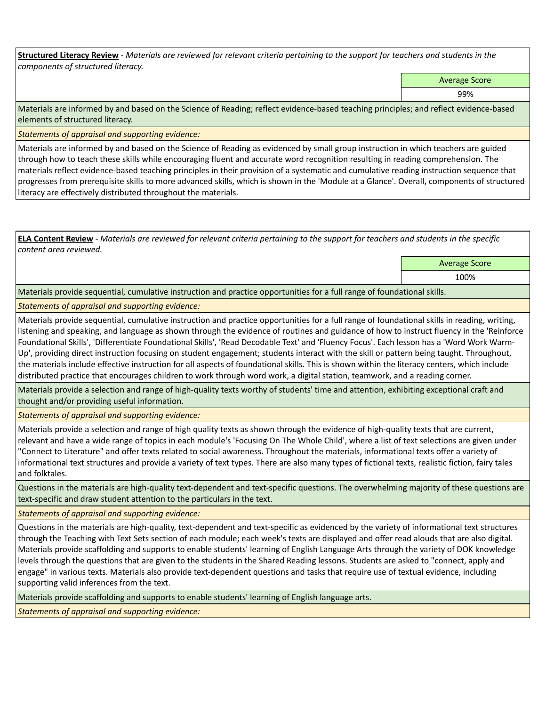**Structured Literacy Review** *- Materials are reviewed for relevant criteria pertaining to the support for teachers and students in the components of structured literacy.*

Average Score

99%

Materials are informed by and based on the Science of Reading; reflect evidence-based teaching principles; and reflect evidence-based elements of structured literacy.

*Statements of appraisal and supporting evidence:*

Materials are informed by and based on the Science of Reading as evidenced by small group instruction in which teachers are guided through how to teach these skills while encouraging fluent and accurate word recognition resulting in reading comprehension. The materials reflect evidence-based teaching principles in their provision of a systematic and cumulative reading instruction sequence that progresses from prerequisite skills to more advanced skills, which is shown in the 'Module at a Glance'. Overall, components of structured literacy are effectively distributed throughout the materials.

**ELA Content Review** *- Materials are reviewed for relevant criteria pertaining to the support for teachers and students in the specific content area reviewed.*

> Average Score 100%

Materials provide sequential, cumulative instruction and practice opportunities for a full range of foundational skills.

## *Statements of appraisal and supporting evidence:*

Materials provide sequential, cumulative instruction and practice opportunities for a full range of foundational skills in reading, writing, listening and speaking, and language as shown through the evidence of routines and guidance of how to instruct fluency in the 'Reinforce Foundational Skills', 'Differentiate Foundational Skills', 'Read Decodable Text' and 'Fluency Focus'. Each lesson has a 'Word Work Warm-Up', providing direct instruction focusing on student engagement; students interact with the skill or pattern being taught. Throughout, the materials include effective instruction for all aspects of foundational skills. This is shown within the literacy centers, which include distributed practice that encourages children to work through word work, a digital station, teamwork, and a reading corner.

Materials provide a selection and range of high-quality texts worthy of students' time and attention, exhibiting exceptional craft and thought and/or providing useful information.

*Statements of appraisal and supporting evidence:* 

Materials provide a selection and range of high quality texts as shown through the evidence of high-quality texts that are current, relevant and have a wide range of topics in each module's 'Focusing On The Whole Child', where a list of text selections are given under "Connect to Literature" and offer texts related to social awareness. Throughout the materials, informational texts offer a variety of informational text structures and provide a variety of text types. There are also many types of fictional texts, realistic fiction, fairy tales and folktales.

Questions in the materials are high-quality text-dependent and text-specific questions. The overwhelming majority of these questions are text-specific and draw student attention to the particulars in the text.

*Statements of appraisal and supporting evidence:* 

Questions in the materials are high-quality, text-dependent and text-specific as evidenced by the variety of informational text structures through the Teaching with Text Sets section of each module; each week's texts are displayed and offer read alouds that are also digital. Materials provide scaffolding and supports to enable students' learning of English Language Arts through the variety of DOK knowledge levels through the questions that are given to the students in the Shared Reading lessons. Students are asked to "connect, apply and engage" in various texts. Materials also provide text-dependent questions and tasks that require use of textual evidence, including supporting valid inferences from the text.

Materials provide scaffolding and supports to enable students' learning of English language arts.

*Statements of appraisal and supporting evidence:*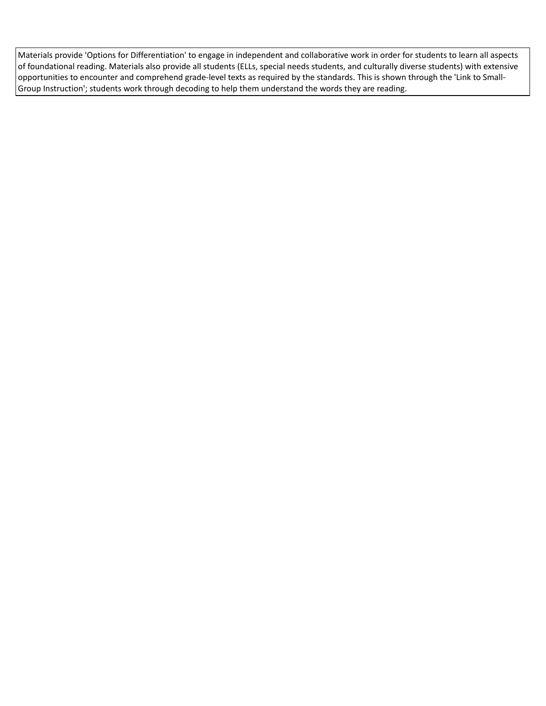Materials provide 'Options for Differentiation' to engage in independent and collaborative work in order for students to learn all aspects of foundational reading. Materials also provide all students (ELLs, special needs students, and culturally diverse students) with extensive opportunities to encounter and comprehend grade-level texts as required by the standards. This is shown through the 'Link to Small-Group Instruction'; students work through decoding to help them understand the words they are reading.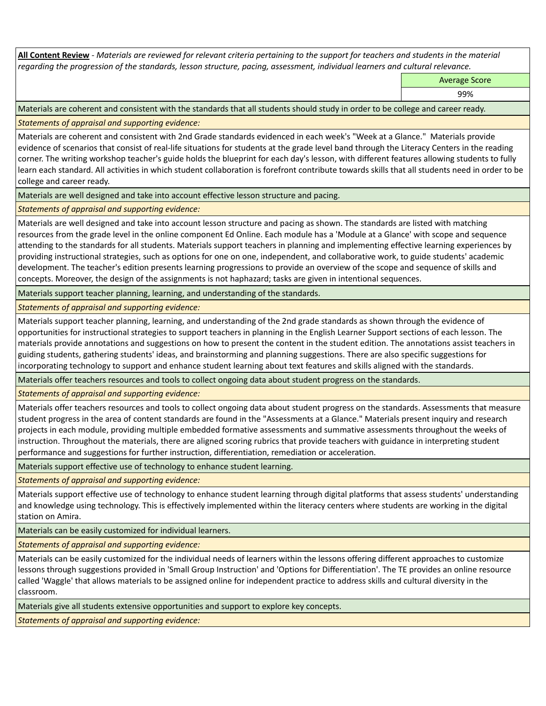**All Content Review** *- Materials are reviewed for relevant criteria pertaining to the support for teachers and students in the material regarding the progression of the standards, lesson structure, pacing, assessment, individual learners and cultural relevance.*

Average Score

99%

Materials are coherent and consistent with the standards that all students should study in order to be college and career ready.

*Statements of appraisal and supporting evidence:*

Materials are coherent and consistent with 2nd Grade standards evidenced in each week's "Week at a Glance." Materials provide evidence of scenarios that consist of real-life situations for students at the grade level band through the Literacy Centers in the reading corner. The writing workshop teacher's guide holds the blueprint for each day's lesson, with different features allowing students to fully learn each standard. All activities in which student collaboration is forefront contribute towards skills that all students need in order to be college and career ready.

Materials are well designed and take into account effective lesson structure and pacing.

*Statements of appraisal and supporting evidence:*

Materials are well designed and take into account lesson structure and pacing as shown. The standards are listed with matching resources from the grade level in the online component Ed Online. Each module has a 'Module at a Glance' with scope and sequence attending to the standards for all students. Materials support teachers in planning and implementing effective learning experiences by providing instructional strategies, such as options for one on one, independent, and collaborative work, to guide students' academic development. The teacher's edition presents learning progressions to provide an overview of the scope and sequence of skills and concepts. Moreover, the design of the assignments is not haphazard; tasks are given in intentional sequences.

Materials support teacher planning, learning, and understanding of the standards.

*Statements of appraisal and supporting evidence:*

Materials support teacher planning, learning, and understanding of the 2nd grade standards as shown through the evidence of opportunities for instructional strategies to support teachers in planning in the English Learner Support sections of each lesson. The materials provide annotations and suggestions on how to present the content in the student edition. The annotations assist teachers in guiding students, gathering students' ideas, and brainstorming and planning suggestions. There are also specific suggestions for incorporating technology to support and enhance student learning about text features and skills aligned with the standards.

Materials offer teachers resources and tools to collect ongoing data about student progress on the standards.

*Statements of appraisal and supporting evidence:*

Materials offer teachers resources and tools to collect ongoing data about student progress on the standards. Assessments that measure student progress in the area of content standards are found in the "Assessments at a Glance." Materials present inquiry and research projects in each module, providing multiple embedded formative assessments and summative assessments throughout the weeks of instruction. Throughout the materials, there are aligned scoring rubrics that provide teachers with guidance in interpreting student performance and suggestions for further instruction, differentiation, remediation or acceleration.

Materials support effective use of technology to enhance student learning.

*Statements of appraisal and supporting evidence:*

Materials support effective use of technology to enhance student learning through digital platforms that assess students' understanding and knowledge using technology. This is effectively implemented within the literacy centers where students are working in the digital station on Amira.

Materials can be easily customized for individual learners.

*Statements of appraisal and supporting evidence:* 

Materials can be easily customized for the individual needs of learners within the lessons offering different approaches to customize lessons through suggestions provided in 'Small Group Instruction' and 'Options for Differentiation'. The TE provides an online resource called 'Waggle' that allows materials to be assigned online for independent practice to address skills and cultural diversity in the classroom.

Materials give all students extensive opportunities and support to explore key concepts.

*Statements of appraisal and supporting evidence:*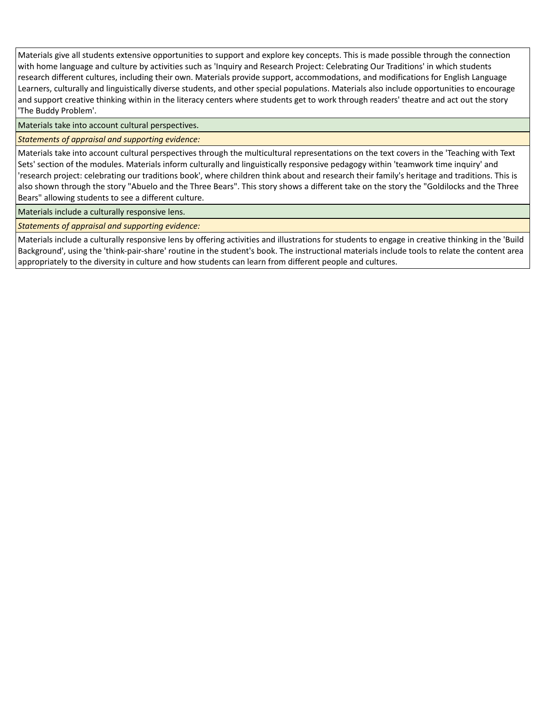Materials give all students extensive opportunities to support and explore key concepts. This is made possible through the connection with home language and culture by activities such as 'Inquiry and Research Project: Celebrating Our Traditions' in which students research different cultures, including their own. Materials provide support, accommodations, and modifications for English Language Learners, culturally and linguistically diverse students, and other special populations. Materials also include opportunities to encourage and support creative thinking within in the literacy centers where students get to work through readers' theatre and act out the story 'The Buddy Problem'.

Materials take into account cultural perspectives.

## *Statements of appraisal and supporting evidence:*

Materials take into account cultural perspectives through the multicultural representations on the text covers in the 'Teaching with Text Sets' section of the modules. Materials inform culturally and linguistically responsive pedagogy within 'teamwork time inquiry' and 'research project: celebrating our traditions book', where children think about and research their family's heritage and traditions. This is also shown through the story "Abuelo and the Three Bears". This story shows a different take on the story the "Goldilocks and the Three Bears" allowing students to see a different culture.

Materials include a culturally responsive lens.

*Statements of appraisal and supporting evidence:*

Materials include a culturally responsive lens by offering activities and illustrations for students to engage in creative thinking in the 'Build Background', using the 'think-pair-share' routine in the student's book. The instructional materials include tools to relate the content area appropriately to the diversity in culture and how students can learn from different people and cultures.